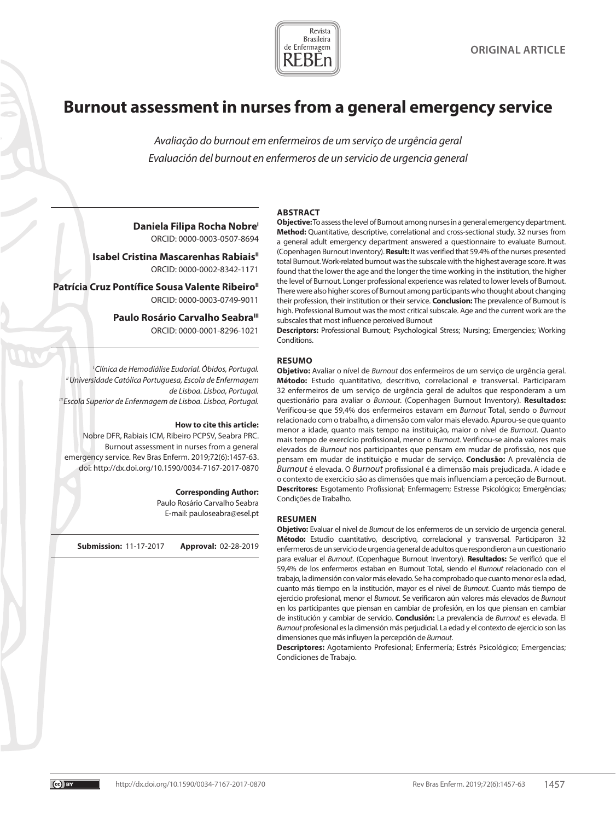

# **Burnout assessment in nurses from a general emergency service**

*Avaliação do burnout em enfermeiros de um serviço de urgência geral Evaluación del burnout en enfermeros de un servicio de urgencia general*

#### **ABSTRACT**

**Daniela Filipa Rocha NobreI** ORCID: 0000-0003-0507-8694

**Isabel Cristina Mascarenhas Rabiais**<sup>11</sup> ORCID: 0000-0002-8342-1171

Patrícia Cruz Pontífice Sousa Valente Ribeiro<sup>"</sup> ORCID: 0000-0003-0749-9011

> Paulo Rosário Carvalho Seabra<sup>III</sup> ORCID: 0000-0001-8296-1021

*I Clínica de Hemodiálise Eudorial. Óbidos, Portugal. II Universidade Católica Portuguesa, Escola de Enfermagem de Lisboa. Lisboa, Portugal. III Escola Superior de Enfermagem de Lisboa. Lisboa, Portugal.* 

#### **How to cite this article:**

Nobre DFR, Rabiais ICM, Ribeiro PCPSV, Seabra PRC. Burnout assessment in nurses from a general emergency service. Rev Bras Enferm. 2019;72(6):1457-63. doi: http://dx.doi.org/10.1590/0034-7167-2017-0870

#### **Corresponding Author:**

Paulo Rosário Carvalho Seabra E-mail: pauloseabra@esel.pt

**Submission:** 11-17-2017 **Approval:** 02-28-2019

**Objective:** To assess the level of Burnout among nurses in a general emergency department. **Method:** Quantitative, descriptive, correlational and cross-sectional study. 32 nurses from a general adult emergency department answered a questionnaire to evaluate Burnout. (Copenhagen Burnout Inventory). **Result:** It was verified that 59.4% of the nurses presented total Burnout. Work-related burnout was the subscale with the highest average score. It was found that the lower the age and the longer the time working in the institution, the higher the level of Burnout. Longer professional experience was related to lower levels of Burnout. There were also higher scores of Burnout among participants who thought about changing their profession, their institution or their service. **Conclusion:** The prevalence of Burnout is high. Professional Burnout was the most critical subscale. Age and the current work are the subscales that most influence perceived Burnout

**Descriptors:** Professional Burnout; Psychological Stress; Nursing; Emergencies; Working Conditions.

#### **RESUMO**

**Objetivo:** Avaliar o nível de *Burnout* dos enfermeiros de um serviço de urgência geral. **Método:** Estudo quantitativo, descritivo, correlacional e transversal. Participaram 32 enfermeiros de um serviço de urgência geral de adultos que responderam a um questionário para avaliar o *Burnout*. (Copenhagen Burnout Inventory). **Resultados:** Verificou-se que 59,4% dos enfermeiros estavam em *Burnout* Total, sendo o *Burnout* relacionado com o trabalho, a dimensão com valor mais elevado. Apurou-se que quanto menor a idade, quanto mais tempo na instituição, maior o nível de *Burnout. Q*uanto mais tempo de exercício profissional, menor o *Burnout.* Verificou-se ainda valores mais elevados de *Burnout* nos participantes que pensam em mudar de profissão, nos que pensam em mudar de instituição e mudar de serviço. **Conclusão:** A prevalência de *Burnout* é elevada. O *Burnout* profissional é a dimensão mais prejudicada. A idade e o contexto de exercício são as dimensões que mais influenciam a perceção de Burnout. **Descritores:** Esgotamento Profissional; Enfermagem; Estresse Psicológico; Emergências; Condições de Trabalho.

#### **RESUMEN**

**Objetivo:** Evaluar el nivel de *Burnout* de los enfermeros de un servicio de urgencia general. **Método:** Estudio cuantitativo, descriptivo, correlacional y transversal. Participaron 32 enfermeros de un servicio de urgencia general de adultos que respondieron a un cuestionario para evaluar el *Burnout*. (Copenhague Burnout Inventory). **Resultados:** Se verificó que el 59,4% de los enfermeros estaban en Burnout Total, siendo el *Burnout* relacionado con el trabajo, la dimensión con valor más elevado. Se ha comprobado que cuanto menor es la edad, cuanto más tiempo en la institución, mayor es el nivel de *Burnout*. Cuanto más tiempo de ejercicio profesional, menor el *Burnout*. Se verificaron aún valores más elevados de *Burnout* en los participantes que piensan en cambiar de profesión, en los que piensan en cambiar de institución y cambiar de servicio. **Conclusión:** La prevalencia de *Burnout* es elevada. El *Burnout* profesional es la dimensión más perjudicial. La edad y el contexto de ejercicio son las dimensiones que más influyen la percepción de *Burnout*.

**Descriptores:** Agotamiento Profesional; Enfermería; Estrés Psicológico; Emergencias; Condiciones de Trabajo.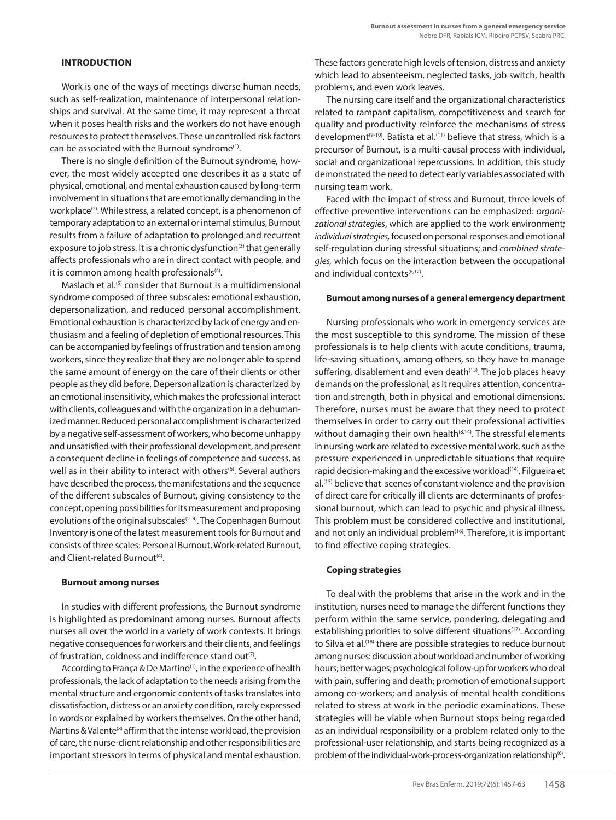# **INTRODUCTION**

Work is one of the ways of meetings diverse human needs, such as self-realization, maintenance of interpersonal relationships and survival. At the same time, it may represent a threat when it poses health risks and the workers do not have enough resources to protect themselves. These uncontrolled risk factors can be associated with the Burnout syndrome(1).

There is no single definition of the Burnout syndrome, however, the most widely accepted one describes it as a state of physical, emotional, and mental exhaustion caused by long-term involvement in situations that are emotionally demanding in the workplace<sup>(2)</sup>. While stress, a related concept, is a phenomenon of temporary adaptation to an external or internal stimulus, Burnout results from a failure of adaptation to prolonged and recurrent exposure to job stress. It is a chronic dysfunction<sup>(3)</sup> that generally affects professionals who are in direct contact with people, and it is common among health professionals<sup>(4)</sup>.

Maslach et al.(5) consider that Burnout is a multidimensional syndrome composed of three subscales: emotional exhaustion, depersonalization, and reduced personal accomplishment. Emotional exhaustion is characterized by lack of energy and enthusiasm and a feeling of depletion of emotional resources. This can be accompanied by feelings of frustration and tension among workers, since they realize that they are no longer able to spend the same amount of energy on the care of their clients or other people as they did before. Depersonalization is characterized by an emotional insensitivity, which makes the professional interact with clients, colleagues and with the organization in a dehumanized manner. Reduced personal accomplishment is characterized by a negative self-assessment of workers, who become unhappy and unsatisfied with their professional development, and present a consequent decline in feelings of competence and success, as well as in their ability to interact with others<sup>(6)</sup>. Several authors have described the process, the manifestations and the sequence of the different subscales of Burnout, giving consistency to the concept, opening possibilities for its measurement and proposing evolutions of the original subscales<sup>(2-4)</sup>. The Copenhagen Burnout Inventory is one of the latest measurement tools for Burnout and consists of three scales: Personal Burnout, Work-related Burnout, and Client-related Burnout<sup>(4)</sup>.

# **Burnout among nurses**

In studies with different professions, the Burnout syndrome is highlighted as predominant among nurses. Burnout affects nurses all over the world in a variety of work contexts. It brings negative consequences for workers and their clients, and feelings of frustration, coldness and indifference stand out<sup>(7)</sup>.

According to França & De Martino<sup>(1)</sup>, in the experience of health professionals, the lack of adaptation to the needs arising from the mental structure and ergonomic contents of tasks translates into dissatisfaction, distress or an anxiety condition, rarely expressed in words or explained by workers themselves. On the other hand, Martins & Valente<sup>(8)</sup> affirm that the intense workload, the provision of care, the nurse-client relationship and other responsibilities are important stressors in terms of physical and mental exhaustion. These factors generate high levels of tension, distress and anxiety which lead to absenteeism, neglected tasks, job switch, health problems, and even work leaves.

The nursing care itself and the organizational characteristics related to rampant capitalism, competitiveness and search for quality and productivity reinforce the mechanisms of stress development<sup>(9-10)</sup>. Batista et al.<sup>(11)</sup> believe that stress, which is a precursor of Burnout, is a multi-causal process with individual, social and organizational repercussions. In addition, this study demonstrated the need to detect early variables associated with nursing team work.

Faced with the impact of stress and Burnout, three levels of effective preventive interventions can be emphasized: *organizational strategies*, which are applied to the work environment; *individual strategies,* focused on personal responses and emotional self-regulation during stressful situations; and *combined strategies,* which focus on the interaction between the occupational and individual contexts $(6,12)$ .

# **Burnout among nurses of a general emergency department**

Nursing professionals who work in emergency services are the most susceptible to this syndrome. The mission of these professionals is to help clients with acute conditions, trauma, life-saving situations, among others, so they have to manage suffering, disablement and even death<sup>(13)</sup>. The job places heavy demands on the professional, as it requires attention, concentration and strength, both in physical and emotional dimensions. Therefore, nurses must be aware that they need to protect themselves in order to carry out their professional activities without damaging their own health<sup>(8,14)</sup>. The stressful elements in nursing work are related to excessive mental work, such as the pressure experienced in unpredictable situations that require rapid decision-making and the excessive workload<sup>(14)</sup>. Filgueira et al.(15) believe that scenes of constant violence and the provision of direct care for critically ill clients are determinants of professional burnout, which can lead to psychic and physical illness. This problem must be considered collective and institutional, and not only an individual problem<sup>(16)</sup>. Therefore, it is important to find effective coping strategies.

# **Coping strategies**

To deal with the problems that arise in the work and in the institution, nurses need to manage the different functions they perform within the same service, pondering, delegating and establishing priorities to solve different situations<sup>(17)</sup>. According to Silva et al.<sup>(18)</sup> there are possible strategies to reduce burnout among nurses: discussion about workload and number of working hours; better wages; psychological follow-up for workers who deal with pain, suffering and death; promotion of emotional support among co-workers; and analysis of mental health conditions related to stress at work in the periodic examinations. These strategies will be viable when Burnout stops being regarded as an individual responsibility or a problem related only to the professional-user relationship, and starts being recognized as a problem of the individual-work-process-organization relationship<sup>(6)</sup>.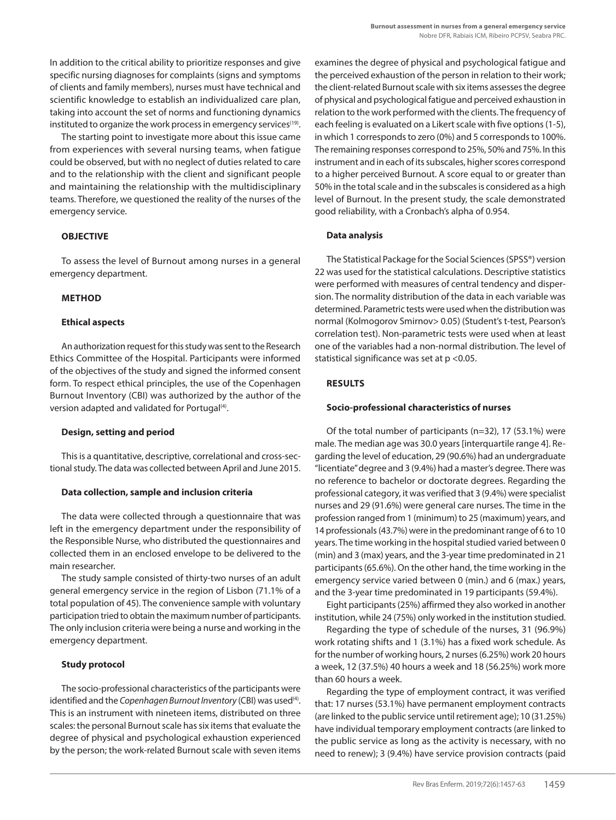In addition to the critical ability to prioritize responses and give specific nursing diagnoses for complaints (signs and symptoms of clients and family members), nurses must have technical and scientific knowledge to establish an individualized care plan, taking into account the set of norms and functioning dynamics instituted to organize the work process in emergency services<sup>(19)</sup>.

The starting point to investigate more about this issue came from experiences with several nursing teams, when fatigue could be observed, but with no neglect of duties related to care and to the relationship with the client and significant people and maintaining the relationship with the multidisciplinary teams. Therefore, we questioned the reality of the nurses of the emergency service.

# **OBJECTIVE**

To assess the level of Burnout among nurses in a general emergency department.

#### **METHOD**

#### **Ethical aspects**

An authorization request for this study was sent to the Research Ethics Committee of the Hospital. Participants were informed of the objectives of the study and signed the informed consent form. To respect ethical principles, the use of the Copenhagen Burnout Inventory (CBI) was authorized by the author of the version adapted and validated for Portugal<sup>(4)</sup>.

#### **Design, setting and period**

This is a quantitative, descriptive, correlational and cross-sectional study. The data was collected between April and June 2015.

#### **Data collection, sample and inclusion criteria**

The data were collected through a questionnaire that was left in the emergency department under the responsibility of the Responsible Nurse, who distributed the questionnaires and collected them in an enclosed envelope to be delivered to the main researcher.

The study sample consisted of thirty-two nurses of an adult general emergency service in the region of Lisbon (71.1% of a total population of 45). The convenience sample with voluntary participation tried to obtain the maximum number of participants. The only inclusion criteria were being a nurse and working in the emergency department.

# **Study protocol**

The socio-professional characteristics of the participants were identified and the *Copenhagen Burnout Inventory* (CBI) was used<sup>(4)</sup>. This is an instrument with nineteen items, distributed on three scales: the personal Burnout scale has six items that evaluate the degree of physical and psychological exhaustion experienced by the person; the work-related Burnout scale with seven items examines the degree of physical and psychological fatigue and the perceived exhaustion of the person in relation to their work; the client-related Burnout scale with six items assesses the degree of physical and psychological fatigue and perceived exhaustion in relation to the work performed with the clients. The frequency of each feeling is evaluated on a Likert scale with five options (1-5), in which 1 corresponds to zero (0%) and 5 corresponds to 100%. The remaining responses correspond to 25%, 50% and 75%. In this instrument and in each of its subscales, higher scores correspond to a higher perceived Burnout. A score equal to or greater than 50% in the total scale and in the subscales is considered as a high level of Burnout. In the present study, the scale demonstrated good reliability, with a Cronbach's alpha of 0.954.

#### **Data analysis**

The Statistical Package for the Social Sciences (SPSS®) version 22 was used for the statistical calculations. Descriptive statistics were performed with measures of central tendency and dispersion. The normality distribution of the data in each variable was determined. Parametric tests were used when the distribution was normal (Kolmogorov Smirnov> 0.05) (Student's t-test, Pearson's correlation test). Non-parametric tests were used when at least one of the variables had a non-normal distribution. The level of statistical significance was set at p <0.05.

# **RESULTS**

#### **Socio-professional characteristics of nurses**

Of the total number of participants (n=32), 17 (53.1%) were male. The median age was 30.0 years [interquartile range 4]. Regarding the level of education, 29 (90.6%) had an undergraduate "licentiate" degree and 3 (9.4%) had a master's degree. There was no reference to bachelor or doctorate degrees. Regarding the professional category, it was verified that 3 (9.4%) were specialist nurses and 29 (91.6%) were general care nurses. The time in the profession ranged from 1 (minimum) to 25 (maximum) years, and 14 professionals (43.7%) were in the predominant range of 6 to 10 years. The time working in the hospital studied varied between 0 (min) and 3 (max) years, and the 3-year time predominated in 21 participants (65.6%). On the other hand, the time working in the emergency service varied between 0 (min.) and 6 (max.) years, and the 3-year time predominated in 19 participants (59.4%).

Eight participants (25%) affirmed they also worked in another institution, while 24 (75%) only worked in the institution studied.

Regarding the type of schedule of the nurses, 31 (96.9%) work rotating shifts and 1 (3.1%) has a fixed work schedule. As for the number of working hours, 2 nurses (6.25%) work 20 hours a week, 12 (37.5%) 40 hours a week and 18 (56.25%) work more than 60 hours a week.

Regarding the type of employment contract, it was verified that: 17 nurses (53.1%) have permanent employment contracts (are linked to the public service until retirement age); 10 (31.25%) have individual temporary employment contracts (are linked to the public service as long as the activity is necessary, with no need to renew); 3 (9.4%) have service provision contracts (paid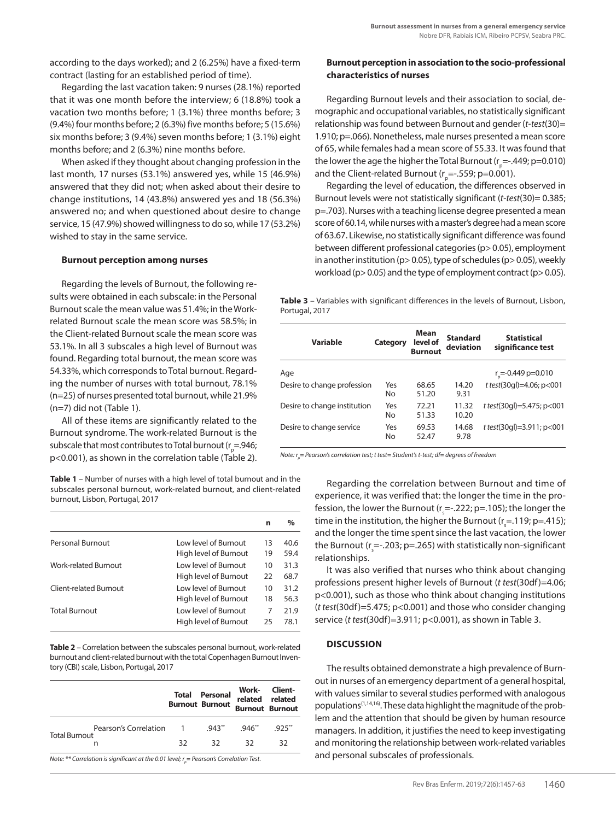according to the days worked); and 2 (6.25%) have a fixed-term contract (lasting for an established period of time).

Regarding the last vacation taken: 9 nurses (28.1%) reported that it was one month before the interview; 6 (18.8%) took a vacation two months before; 1 (3.1%) three months before; 3 (9.4%) four months before; 2 (6.3%) five months before; 5 (15.6%) six months before; 3 (9.4%) seven months before; 1 (3.1%) eight months before; and 2 (6.3%) nine months before.

When asked if they thought about changing profession in the last month, 17 nurses (53.1%) answered yes, while 15 (46.9%) answered that they did not; when asked about their desire to change institutions, 14 (43.8%) answered yes and 18 (56.3%) answered no; and when questioned about desire to change service, 15 (47.9%) showed willingness to do so, while 17 (53.2%) wished to stay in the same service.

#### **Burnout perception among nurses**

Regarding the levels of Burnout, the following results were obtained in each subscale: in the Personal Burnout scale the mean value was 51.4%; in the Workrelated Burnout scale the mean score was 58.5%; in the Client-related Burnout scale the mean score was 53.1%. In all 3 subscales a high level of Burnout was found. Regarding total burnout, the mean score was 54.33%, which corresponds to Total burnout. Regarding the number of nurses with total burnout, 78.1% (n=25) of nurses presented total burnout, while 21.9% (n=7) did not (Table 1).

All of these items are significantly related to the Burnout syndrome. The work-related Burnout is the subscale that most contributes to Total burnout (r<sub>p</sub>=.946; p<0.001), as shown in the correlation table (Table 2).

**Table 1** – Number of nurses with a high level of total burnout and in the subscales personal burnout, work-related burnout, and client-related burnout, Lisbon, Portugal, 2017

|                        |                       | n  | $\%$ |
|------------------------|-----------------------|----|------|
| Personal Burnout       | Low level of Burnout  | 13 | 40.6 |
|                        | High level of Burnout | 19 | 59.4 |
| Work-related Burnout   | Low level of Burnout  | 10 | 31.3 |
|                        | High level of Burnout | 22 | 68.7 |
| Client-related Burnout | Low level of Burnout  | 10 | 31.2 |
|                        | High level of Burnout | 18 | 56.3 |
| <b>Total Burnout</b>   | Low level of Burnout  | 7  | 21.9 |
|                        | High level of Burnout | 25 | 78.1 |
|                        |                       |    |      |

**Table 2** – Correlation between the subscales personal burnout, work-related burnout and client-related burnout with the total Copenhagen Burnout Inventory (CBI) scale, Lisbon, Portugal, 2017

|                      |                                                                                                 |    | <b>Total Personal</b><br><b>Burnout Burnout</b> | related related | Work- Client-<br><b>Burnout Burnout</b> |
|----------------------|-------------------------------------------------------------------------------------------------|----|-------------------------------------------------|-----------------|-----------------------------------------|
| <b>Total Burnout</b> | Pearson's Correlation 1                                                                         |    | $.943**$                                        | $.946**$        | $.925***$                               |
|                      | n                                                                                               | 32 | 32.                                             | 32              | 32                                      |
|                      | Note: ** Correlation is significant at the 0.01 level; $r_{\rho}$ = Pearson's Correlation Test. |    |                                                 |                 |                                         |

# **Burnout perception in association to the socio-professional characteristics of nurses**

Regarding Burnout levels and their association to social, demographic and occupational variables, no statistically significant relationship was found between Burnout and gender (*t-test*(30)= 1.910; p=.066). Nonetheless, male nurses presented a mean score of 65, while females had a mean score of 55.33. It was found that the lower the age the higher the Total Burnout (r<sub>p</sub>=-.449; p=0.010) and the Client-related Burnout ( $r_{\text{p}}$ =-.559; p=0.001).

Regarding the level of education, the differences observed in Burnout levels were not statistically significant (*t-test*(30)= 0.385; p=.703). Nurses with a teaching license degree presented a mean score of 60.14, while nurses with a master's degree had a mean score of 63.67. Likewise, no statistically significant difference was found between different professional categories (p> 0.05), employment in another institution (p> 0.05), type of schedules (p> 0.05), weekly workload (p> 0.05) and the type of employment contract (p> 0.05).

**Table 3** – Variables with significant differences in the levels of Burnout, Lisbon, Portugal, 2017

| <b>Variable</b>              | Category  | Mean<br>level of<br><b>Burnout</b> | <b>Standard</b><br>deviation | <b>Statistical</b><br>significance test |
|------------------------------|-----------|------------------------------------|------------------------------|-----------------------------------------|
| Age                          |           |                                    |                              | $r_{\rm g}$ =-0.449 p=0.010             |
| Desire to change profession  | Yes<br>No | 68.65<br>51.20                     | 14.20<br>9.31                | t test(30gl)=4.06; p<001                |
| Desire to change institution | Yes<br>No | 72.21<br>51.33                     | 11.32<br>10.20               | t test(30gl)=5.475; p<001               |
| Desire to change service     | Yes<br>No | 69.53<br>52.47                     | 14.68<br>9.78                | t test(30gl)=3.911; p<001               |

*Note: rp = Pearson's correlation test; t test= Student's t-test; df= degrees of freedom*

Regarding the correlation between Burnout and time of experience, it was verified that: the longer the time in the profession, the lower the Burnout (r  $\mathsf{c}_\mathsf{s}$  =-.222; p=.105); the longer the time in the institution, the higher the Burnout ( $r_s$ =.119; p=.415); and the longer the time spent since the last vacation, the lower the Burnout ( $r_s$ =-.203; p=.265) with statistically non-significant relationships.

It was also verified that nurses who think about changing professions present higher levels of Burnout (*t test*(30df)=4.06; p<0.001), such as those who think about changing institutions (*t test*(30df)=5.475; p<0.001) and those who consider changing service (*t test*(30df)=3.911; p<0.001), as shown in Table 3.

#### **DISCUSSION**

The results obtained demonstrate a high prevalence of Burnout in nurses of an emergency department of a general hospital, with values similar to several studies performed with analogous populations<sup>(1,14,16)</sup>. These data highlight the magnitude of the problem and the attention that should be given by human resource managers. In addition, it justifies the need to keep investigating and monitoring the relationship between work-related variables and personal subscales of professionals.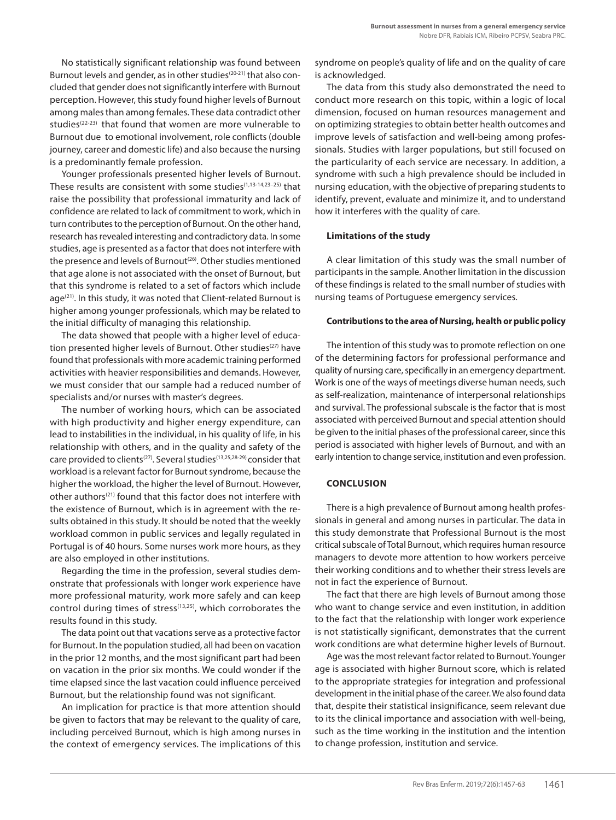No statistically significant relationship was found between Burnout levels and gender, as in other studies<sup>(20-21)</sup> that also concluded that gender does not significantly interfere with Burnout perception. However, this study found higher levels of Burnout among males than among females. These data contradict other studies<sup>(22-23)</sup> that found that women are more vulnerable to Burnout due to emotional involvement, role conflicts (double journey, career and domestic life) and also because the nursing is a predominantly female profession.

Younger professionals presented higher levels of Burnout. These results are consistent with some studies<sup>(1,13-14,23-25)</sup> that raise the possibility that professional immaturity and lack of confidence are related to lack of commitment to work, which in turn contributes to the perception of Burnout. On the other hand, research has revealed interesting and contradictory data. In some studies, age is presented as a factor that does not interfere with the presence and levels of Burnout<sup>(26)</sup>. Other studies mentioned that age alone is not associated with the onset of Burnout, but that this syndrome is related to a set of factors which include age<sup>(21)</sup>. In this study, it was noted that Client-related Burnout is higher among younger professionals, which may be related to the initial difficulty of managing this relationship.

The data showed that people with a higher level of education presented higher levels of Burnout. Other studies<sup>(27)</sup> have found that professionals with more academic training performed activities with heavier responsibilities and demands. However, we must consider that our sample had a reduced number of specialists and/or nurses with master's degrees.

The number of working hours, which can be associated with high productivity and higher energy expenditure, can lead to instabilities in the individual, in his quality of life, in his relationship with others, and in the quality and safety of the care provided to clients<sup>(27)</sup>. Several studies<sup>(13,25,28-29)</sup> consider that workload is a relevant factor for Burnout syndrome, because the higher the workload, the higher the level of Burnout. However, other authors<sup>(21)</sup> found that this factor does not interfere with the existence of Burnout, which is in agreement with the results obtained in this study. It should be noted that the weekly workload common in public services and legally regulated in Portugal is of 40 hours. Some nurses work more hours, as they are also employed in other institutions.

Regarding the time in the profession, several studies demonstrate that professionals with longer work experience have more professional maturity, work more safely and can keep control during times of stress<sup>(13,25)</sup>, which corroborates the results found in this study.

The data point out that vacations serve as a protective factor for Burnout. In the population studied, all had been on vacation in the prior 12 months, and the most significant part had been on vacation in the prior six months. We could wonder if the time elapsed since the last vacation could influence perceived Burnout, but the relationship found was not significant.

An implication for practice is that more attention should be given to factors that may be relevant to the quality of care, including perceived Burnout, which is high among nurses in the context of emergency services. The implications of this syndrome on people's quality of life and on the quality of care is acknowledged.

The data from this study also demonstrated the need to conduct more research on this topic, within a logic of local dimension, focused on human resources management and on optimizing strategies to obtain better health outcomes and improve levels of satisfaction and well-being among professionals. Studies with larger populations, but still focused on the particularity of each service are necessary. In addition, a syndrome with such a high prevalence should be included in nursing education, with the objective of preparing students to identify, prevent, evaluate and minimize it, and to understand how it interferes with the quality of care.

# **Limitations of the study**

A clear limitation of this study was the small number of participants in the sample. Another limitation in the discussion of these findings is related to the small number of studies with nursing teams of Portuguese emergency services.

# **Contributions to the area of Nursing, health or public policy**

The intention of this study was to promote reflection on one of the determining factors for professional performance and quality of nursing care, specifically in an emergency department. Work is one of the ways of meetings diverse human needs, such as self-realization, maintenance of interpersonal relationships and survival. The professional subscale is the factor that is most associated with perceived Burnout and special attention should be given to the initial phases of the professional career, since this period is associated with higher levels of Burnout, and with an early intention to change service, institution and even profession.

# **CONCLUSION**

There is a high prevalence of Burnout among health professionals in general and among nurses in particular. The data in this study demonstrate that Professional Burnout is the most critical subscale of Total Burnout, which requires human resource managers to devote more attention to how workers perceive their working conditions and to whether their stress levels are not in fact the experience of Burnout.

The fact that there are high levels of Burnout among those who want to change service and even institution, in addition to the fact that the relationship with longer work experience is not statistically significant, demonstrates that the current work conditions are what determine higher levels of Burnout.

Age was the most relevant factor related to Burnout. Younger age is associated with higher Burnout score, which is related to the appropriate strategies for integration and professional development in the initial phase of the career. We also found data that, despite their statistical insignificance, seem relevant due to its the clinical importance and association with well-being, such as the time working in the institution and the intention to change profession, institution and service.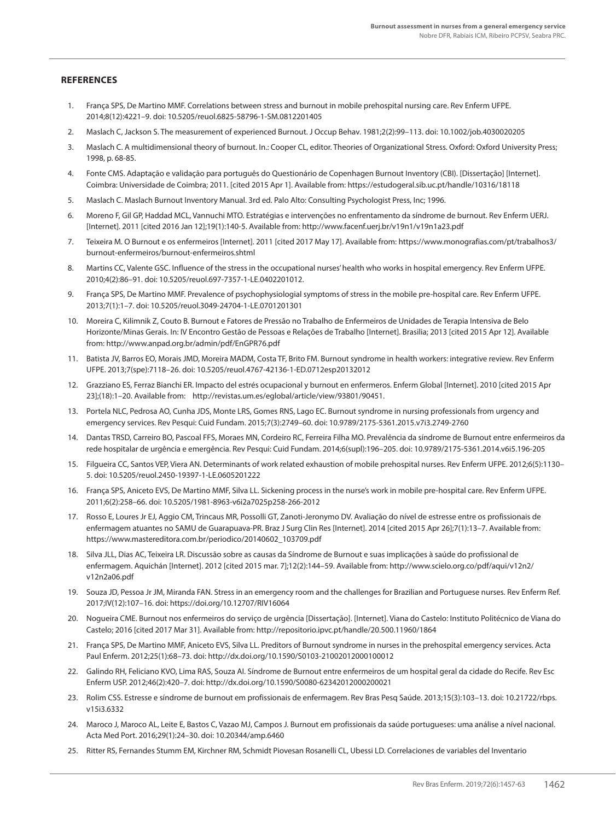# **REFERENCES**

- 1. França SPS, De Martino MMF. Correlations between stress and burnout in mobile prehospital nursing care. Rev Enferm UFPE. 2014;8(12):4221–9. doi: 10.5205/reuol.6825-58796-1-SM.0812201405
- 2. Maslach C, Jackson S. The measurement of experienced Burnout. J Occup Behav. 1981;2(2):99–113. doi: 10.1002/job.4030020205
- 3. Maslach C. A multidimensional theory of burnout. In.: Cooper CL, editor. Theories of Organizational Stress. Oxford: Oxford University Press; 1998, p. 68-85.
- 4. Fonte CMS. Adaptação e validação para português do Questionário de Copenhagen Burnout Inventory (CBI). [Dissertação] [Internet]. Coimbra: Universidade de Coimbra; 2011. [cited 2015 Apr 1]. Available from: https://estudogeral.sib.uc.pt/handle/10316/18118
- 5. Maslach C. Maslach Burnout Inventory Manual. 3rd ed. Palo Alto: Consulting Psychologist Press, Inc; 1996.
- 6. Moreno F, Gil GP, Haddad MCL, Vannuchi MTO. Estratégias e intervenções no enfrentamento da síndrome de burnout. Rev Enferm UERJ. [Internet]. 2011 [cited 2016 Jan 12];19(1):140-5. Available from: http://www.facenf.uerj.br/v19n1/v19n1a23.pdf
- 7. Teixeira M. O Burnout e os enfermeiros [Internet]. 2011 [cited 2017 May 17]. Available from: https://www.monografias.com/pt/trabalhos3/ burnout-enfermeiros/burnout-enfermeiros.shtml
- 8. Martins CC, Valente GSC. Influence of the stress in the occupational nurses' health who works in hospital emergency. Rev Enferm UFPE. 2010;4(2):86–91. doi: 10.5205/reuol.697-7357-1-LE.0402201012.
- 9. França SPS, De Martino MMF. Prevalence of psychophysiologial symptoms of stress in the mobile pre-hospital care. Rev Enferm UFPE. 2013;7(1):1–7. doi: 10.5205/reuol.3049-24704-1-LE.0701201301
- 10. Moreira C, Kilimnik Z, Couto B. Burnout e Fatores de Pressão no Trabalho de Enfermeiros de Unidades de Terapia Intensiva de Belo Horizonte/Minas Gerais. In: IV Encontro Gestão de Pessoas e Relações de Trabalho [Internet]. Brasilia; 2013 [cited 2015 Apr 12]. Available from: http://www.anpad.org.br/admin/pdf/EnGPR76.pdf
- 11. Batista JV, Barros EO, Morais JMD, Moreira MADM, Costa TF, Brito FM. Burnout syndrome in health workers: integrative review. Rev Enferm UFPE. 2013;7(spe):7118–26. doi: 10.5205/reuol.4767-42136-1-ED.0712esp20132012
- 12. Grazziano ES, Ferraz Bianchi ER. Impacto del estrés ocupacional y burnout en enfermeros. Enferm Global [Internet]. 2010 [cited 2015 Apr 23];(18):1–20. Available from: http://revistas.um.es/eglobal/article/view/93801/90451.
- 13. Portela NLC, Pedrosa AO, Cunha JDS, Monte LRS, Gomes RNS, Lago EC. Burnout syndrome in nursing professionals from urgency and emergency services. Rev Pesqui: Cuid Fundam. 2015;7(3):2749–60. doi: 10.9789/2175-5361.2015.v7i3.2749-2760
- 14. Dantas TRSD, Carreiro BO, Pascoal FFS, Moraes MN, Cordeiro RC, Ferreira Filha MO. Prevalência da síndrome de Burnout entre enfermeiros da rede hospitalar de urgência e emergência. Rev Pesqui: Cuid Fundam. 2014;6(supl):196–205. doi: 10.9789/2175-5361.2014.v6i5.196-205
- 15. Filgueira CC, Santos VEP, Viera AN. Determinants of work related exhaustion of mobile prehospital nurses. Rev Enferm UFPE. 2012;6(5):1130– 5. doi: 10.5205/reuol.2450-19397-1-LE.0605201222
- 16. França SPS, Aniceto EVS, De Martino MMF, Silva LL. Sickening process in the nurse's work in mobile pre-hospital care. Rev Enferm UFPE. 2011;6(2):258–66. doi: 10.5205/1981-8963-v6i2a7025p258-266-2012
- 17. Rosso E, Loures Jr EJ, Aggio CM, Trincaus MR, Possolli GT, Zanoti-Jeronymo DV. Avaliação do nível de estresse entre os profissionais de enfermagem atuantes no SAMU de Guarapuava-PR. Braz J Surg Clin Res [Internet]. 2014 [cited 2015 Apr 26];7(1):13–7. Available from: https://www.mastereditora.com.br/periodico/20140602\_103709.pdf
- 18. Silva JLL, Dias AC, Teixeira LR. Discussão sobre as causas da Síndrome de Burnout e suas implicações à saúde do profissional de enfermagem. Aquichán [Internet]. 2012 [cited 2015 mar. 7];12(2):144–59. Available from: http://www.scielo.org.co/pdf/aqui/v12n2/ v12n2a06.pdf
- 19. Souza JD, Pessoa Jr JM, Miranda FAN. Stress in an emergency room and the challenges for Brazilian and Portuguese nurses. Rev Enferm Ref. 2017;IV(12):107–16. doi: https://doi.org/10.12707/RIV16064
- 20. Nogueira CME. Burnout nos enfermeiros do serviço de urgência [Dissertação]. [Internet]. Viana do Castelo: Instituto Politécnico de Viana do Castelo; 2016 [cited 2017 Mar 31]. Available from: http://repositorio.ipvc.pt/handle/20.500.11960/1864
- 21. França SPS, De Martino MMF, Aniceto EVS, Silva LL. Preditors of Burnout syndrome in nurses in the prehospital emergency services. Acta Paul Enferm. 2012;25(1):68–73. doi: http://dx.doi.org/10.1590/S0103-21002012000100012
- 22. Galindo RH, Feliciano KVO, Lima RAS, Souza AI. Síndrome de Burnout entre enfermeiros de um hospital geral da cidade do Recife. Rev Esc Enferm USP. 2012;46(2):420–7. doi: http://dx.doi.org/10.1590/S0080-62342012000200021
- 23. Rolim CSS. Estresse e síndrome de burnout em profissionais de enfermagem. Rev Bras Pesq Saúde. 2013;15(3):103–13. doi: 10.21722/rbps. v15i3.6332
- 24. Maroco J, Maroco AL, Leite E, Bastos C, Vazao MJ, Campos J. Burnout em profissionais da saúde portugueses: uma análise a nível nacional. Acta Med Port. 2016;29(1):24–30. doi: 10.20344/amp.6460
- 25. Ritter RS, Fernandes Stumm EM, Kirchner RM, Schmidt Piovesan Rosanelli CL, Ubessi LD. Correlaciones de variables del Inventario